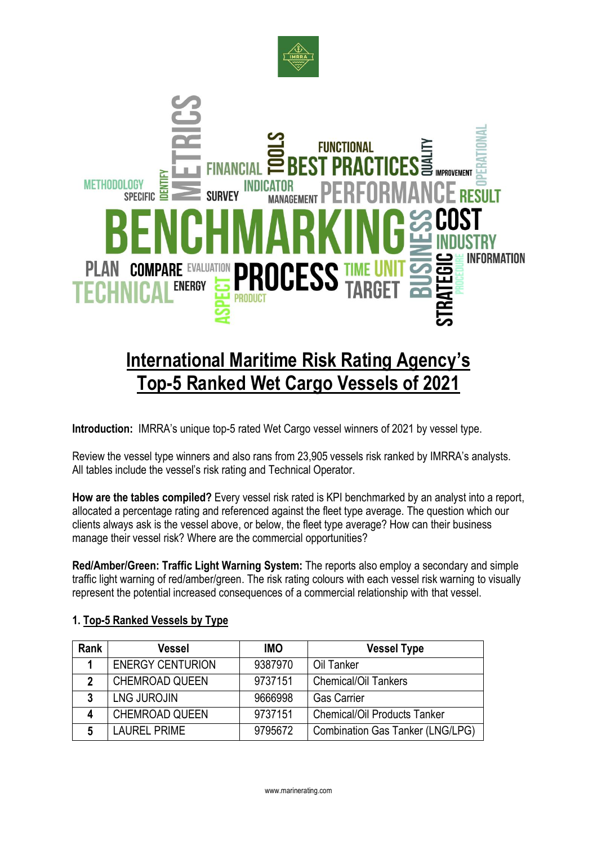



# **International Maritime Risk Rating Agency's Top-5 Ranked Wet Cargo Vessels of 2021**

**Introduction:** IMRRA's unique top-5 rated Wet Cargo vessel winners of 2021 by vessel type.

Review the vessel type winners and also rans from 23,905 vessels risk ranked by IMRRA's analysts. All tables include the vessel's risk rating and Technical Operator.

**How are the tables compiled?** Every vessel risk rated is KPI benchmarked by an analyst into a report, allocated a percentage rating and referenced against the fleet type average. The question which our clients always ask is the vessel above, or below, the fleet type average? How can their business manage their vessel risk? Where are the commercial opportunities?

**Red/Amber/Green: Traffic Light Warning System:** The reports also employ a secondary and simple traffic light warning of red/amber/green. The risk rating colours with each vessel risk warning to visually represent the potential increased consequences of a commercial relationship with that vessel.

| Rank | <b>Vessel</b>           | <b>IMO</b> | <b>Vessel Type</b>                      |
|------|-------------------------|------------|-----------------------------------------|
|      | <b>ENERGY CENTURION</b> | 9387970    | Oil Tanker                              |
| 2    | <b>CHEMROAD QUEEN</b>   | 9737151    | <b>Chemical/Oil Tankers</b>             |
| 3    | <b>LNG JUROJIN</b>      | 9666998    | <b>Gas Carrier</b>                      |
| Δ    | <b>CHEMROAD QUEEN</b>   | 9737151    | <b>Chemical/Oil Products Tanker</b>     |
|      | <b>LAUREL PRIME</b>     | 9795672    | <b>Combination Gas Tanker (LNG/LPG)</b> |

#### **1. Top-5 Ranked Vessels by Type**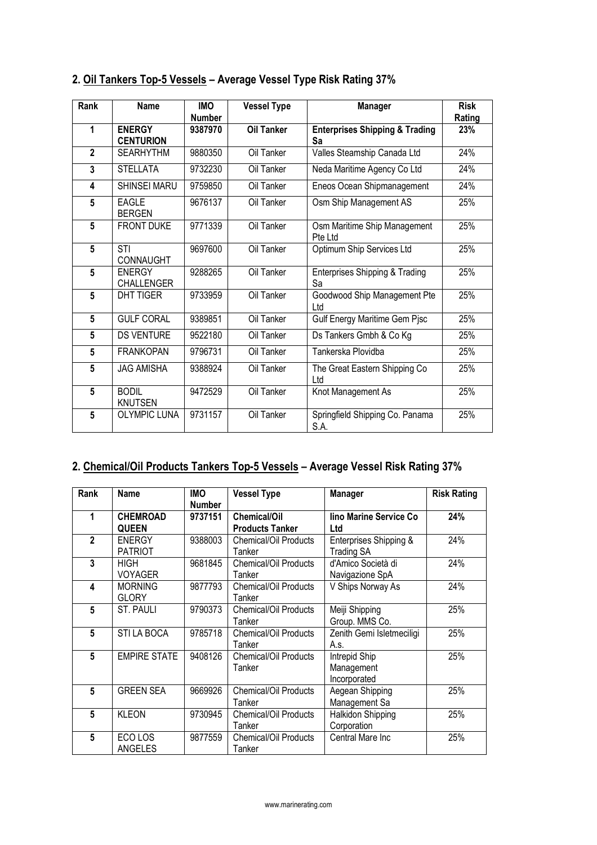| Rank            | Name                               | <b>IMO</b>    | <b>Vessel Type</b> | <b>Manager</b>                                  | <b>Risk</b> |
|-----------------|------------------------------------|---------------|--------------------|-------------------------------------------------|-------------|
|                 |                                    | <b>Number</b> |                    |                                                 | Rating      |
| 1               | <b>ENERGY</b><br><b>CENTURION</b>  | 9387970       | <b>Oil Tanker</b>  | <b>Enterprises Shipping &amp; Trading</b><br>Sa | 23%         |
| $\overline{2}$  | <b>SEARHYTHM</b>                   | 9880350       | Oil Tanker         | Valles Steamship Canada Ltd                     | 24%         |
| 3               | <b>STELLATA</b>                    | 9732230       | Oil Tanker         | Neda Maritime Agency Co Ltd                     | 24%         |
| 4               | <b>SHINSEI MARU</b>                | 9759850       | Oil Tanker         | Eneos Ocean Shipmanagement                      | 24%         |
| 5               | <b>EAGLE</b><br><b>BERGEN</b>      | 9676137       | Oil Tanker         | Osm Ship Management AS                          | 25%         |
| 5               | <b>FRONT DUKE</b>                  | 9771339       | Oil Tanker         | Osm Maritime Ship Management<br>Pte Ltd         | 25%         |
| 5               | STI<br><b>CONNAUGHT</b>            | 9697600       | Oil Tanker         | Optimum Ship Services Ltd                       | 25%         |
| $5\phantom{.0}$ | <b>ENERGY</b><br><b>CHALLENGER</b> | 9288265       | Oil Tanker         | Enterprises Shipping & Trading<br>Sa            | 25%         |
| 5               | <b>DHT TIGER</b>                   | 9733959       | Oil Tanker         | Goodwood Ship Management Pte<br>Ltd             | 25%         |
| 5               | GULF CORAL                         | 9389851       | Oil Tanker         | Gulf Energy Maritime Gem Pjsc                   | 25%         |
| 5               | <b>DS VENTURE</b>                  | 9522180       | Oil Tanker         | Ds Tankers Gmbh & Co Kg                         | 25%         |
| 5               | <b>FRANKOPAN</b>                   | 9796731       | Oil Tanker         | Tankerska Plovidba                              | 25%         |
| $5\phantom{.0}$ | <b>JAG AMISHA</b>                  | 9388924       | Oil Tanker         | The Great Eastern Shipping Co<br>Ltd            | 25%         |
| 5               | <b>BODIL</b><br><b>KNUTSEN</b>     | 9472529       | Oil Tanker         | Knot Management As                              | 25%         |
| 5               | <b>OLYMPIC LUNA</b>                | 9731157       | Oil Tanker         | Springfield Shipping Co. Panama<br>S.A.         | 25%         |

# **2. Oil Tankers Top-5 Vessels – Average Vessel Type Risk Rating 37%**

# **2. Chemical/Oil Products Tankers Top-5 Vessels – Average Vessel Risk Rating 37%**

| Rank           | Name                            | <b>IMO</b><br><b>Number</b> | <b>Vessel Type</b>                            | <b>Manager</b>                              | <b>Risk Rating</b> |
|----------------|---------------------------------|-----------------------------|-----------------------------------------------|---------------------------------------------|--------------------|
| 1              | <b>CHEMROAD</b><br><b>QUEEN</b> | 9737151                     | <b>Chemical/Oil</b><br><b>Products Tanker</b> | lino Marine Service Co<br>Ltd               | 24%                |
| $\mathfrak{p}$ | <b>ENERGY</b><br><b>PATRIOT</b> | 9388003                     | Chemical/Oil Products<br>Tanker               | Enterprises Shipping &<br><b>Trading SA</b> | 24%                |
| 3              | <b>HIGH</b><br><b>VOYAGER</b>   | 9681845                     | Chemical/Oil Products<br>Tanker               | d'Amico Società di<br>Navigazione SpA       | 24%                |
| 4              | <b>MORNING</b><br><b>GLORY</b>  | 9877793                     | <b>Chemical/Oil Products</b><br>Tanker        | V Ships Norway As                           | 24%                |
| 5              | ST. PAULI                       | 9790373                     | Chemical/Oil Products<br>Tanker               | Meiji Shipping<br>Group. MMS Co.            | 25%                |
| 5              | <b>STI LA BOCA</b>              | 9785718                     | Chemical/Oil Products<br>Tanker               | Zenith Gemi Isletmeciligi<br>A.s.           | 25%                |
| 5              | <b>EMPIRE STATE</b>             | 9408126                     | Chemical/Oil Products<br>Tanker               | Intrepid Ship<br>Management<br>Incorporated | 25%                |
| 5              | <b>GREEN SEA</b>                | 9669926                     | Chemical/Oil Products<br>Tanker               | Aegean Shipping<br>Management Sa            | 25%                |
| 5              | <b>KLEON</b>                    | 9730945                     | <b>Chemical/Oil Products</b><br>Tanker        | Halkidon Shipping<br>Corporation            | 25%                |
| 5              | ECO LOS<br>ANGELES              | 9877559                     | Chemical/Oil Products<br>Tanker               | Central Mare Inc                            | 25%                |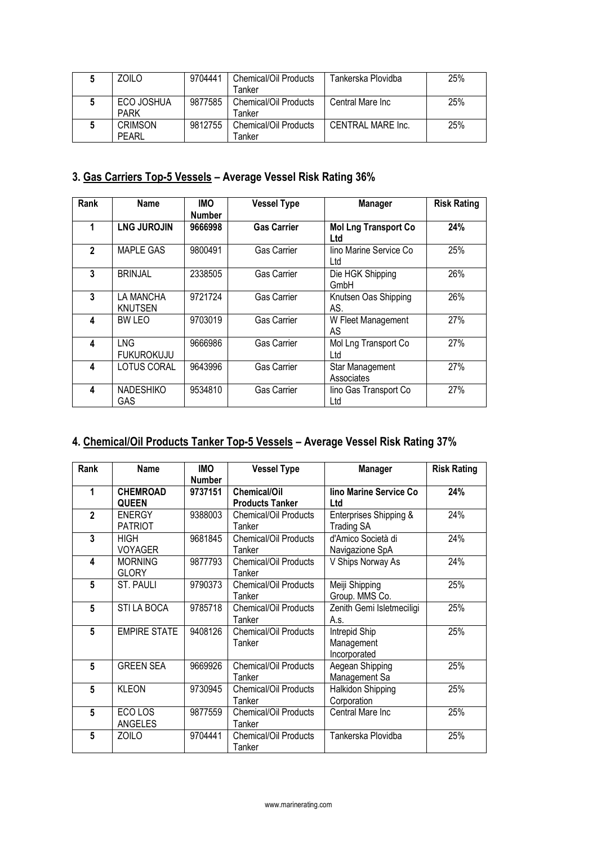| ZOILO                          | 9704441 | Chemical/Oil Products<br><b>Fanker</b> | Tankerska Plovidba | 25% |
|--------------------------------|---------|----------------------------------------|--------------------|-----|
| ECO JOSHUA<br><b>PARK</b>      | 9877585 | Chemical/Oil Products<br>Fanker        | Central Mare Inc   | 25% |
| <b>CRIMSON</b><br><b>PEARL</b> | 9812755 | Chemical/Oil Products<br>⊺anker        | CENTRAL MARE Inc.  | 25% |

# **3. Gas Carriers Top-5 Vessels – Average Vessel Risk Rating 36%**

| Rank           | Name                        | <b>IMO</b><br><b>Number</b> | <b>Vessel Type</b> | <b>Manager</b>                     | <b>Risk Rating</b> |
|----------------|-----------------------------|-----------------------------|--------------------|------------------------------------|--------------------|
|                | <b>LNG JUROJIN</b>          | 9666998                     | <b>Gas Carrier</b> | <b>Mol Lng Transport Co</b><br>Ltd | 24%                |
| $\mathfrak{p}$ | MAPLE GAS                   | 9800491                     | <b>Gas Carrier</b> | lino Marine Service Co<br>Ltd      | 25%                |
| 3              | <b>BRINJAL</b>              | 2338505                     | <b>Gas Carrier</b> | Die HGK Shipping<br>GmbH           | 26%                |
| 3              | <b>LA MANCHA</b><br>KNUTSEN | 9721724                     | <b>Gas Carrier</b> | Knutsen Oas Shipping<br>AS.        | 26%                |
| 4              | <b>BWIFO</b>                | 9703019                     | <b>Gas Carrier</b> | W Fleet Management<br>AS           | 27%                |
| 4              | LNG<br><b>FUKUROKUJU</b>    | 9666986                     | Gas Carrier        | Mol Lng Transport Co<br>Ltd        | 27%                |
| 4              | <b>LOTUS CORAL</b>          | 9643996                     | Gas Carrier        | Star Management<br>Associates      | 27%                |
| 4              | <b>NADESHIKO</b><br>GAS     | 9534810                     | Gas Carrier        | lino Gas Transport Co<br>Ltd       | 27%                |

# **4. Chemical/Oil Products Tanker Top-5 Vessels – Average Vessel Risk Rating 37%**

| Rank           | Name                | <b>IMO</b>    | <b>Vessel Type</b>           | <b>Manager</b>            | <b>Risk Rating</b> |
|----------------|---------------------|---------------|------------------------------|---------------------------|--------------------|
|                |                     | <b>Number</b> |                              |                           |                    |
| 1              | <b>CHEMROAD</b>     | 9737151       | <b>Chemical/Oil</b>          | lino Marine Service Co    | 24%                |
|                | <b>QUEEN</b>        |               | <b>Products Tanker</b>       | Ltd                       |                    |
| $\overline{2}$ | <b>ENERGY</b>       | 9388003       | Chemical/Oil Products        | Enterprises Shipping &    | 24%                |
|                | <b>PATRIOT</b>      |               | Tanker                       | <b>Trading SA</b>         |                    |
| 3              | <b>HIGH</b>         | 9681845       | <b>Chemical/Oil Products</b> | d'Amico Società di        | 24%                |
|                | <b>VOYAGER</b>      |               | Tanker                       | Navigazione SpA           |                    |
| 4              | <b>MORNING</b>      | 9877793       | Chemical/Oil Products        | V Ships Norway As         | 24%                |
|                | <b>GLORY</b>        |               | Tanker                       |                           |                    |
| 5              | ST. PAULI           | 9790373       | Chemical/Oil Products        | Meiji Shipping            | 25%                |
|                |                     |               | Tanker                       | Group. MMS Co.            |                    |
| 5              | STI LA BOCA         | 9785718       | Chemical/Oil Products        | Zenith Gemi Isletmeciligi | 25%                |
|                |                     |               | Tanker                       | A.s.                      |                    |
| 5              | <b>EMPIRE STATE</b> | 9408126       | Chemical/Oil Products        | Intrepid Ship             | 25%                |
|                |                     |               | Tanker                       | Management                |                    |
|                |                     |               |                              | Incorporated              |                    |
| 5              | <b>GREEN SEA</b>    | 9669926       | Chemical/Oil Products        | Aegean Shipping           | 25%                |
|                |                     |               | Tanker                       | Management Sa             |                    |
| 5              | <b>KLEON</b>        | 9730945       | Chemical/Oil Products        | Halkidon Shipping         | 25%                |
|                |                     |               | Tanker                       | Corporation               |                    |
| 5              | ECO LOS             | 9877559       | Chemical/Oil Products        | Central Mare Inc          | 25%                |
|                | ANGELES             |               | Tanker                       |                           |                    |
| 5              | <b>ZOILO</b>        | 9704441       | Chemical/Oil Products        | Tankerska Plovidba        | 25%                |
|                |                     |               | Tanker                       |                           |                    |